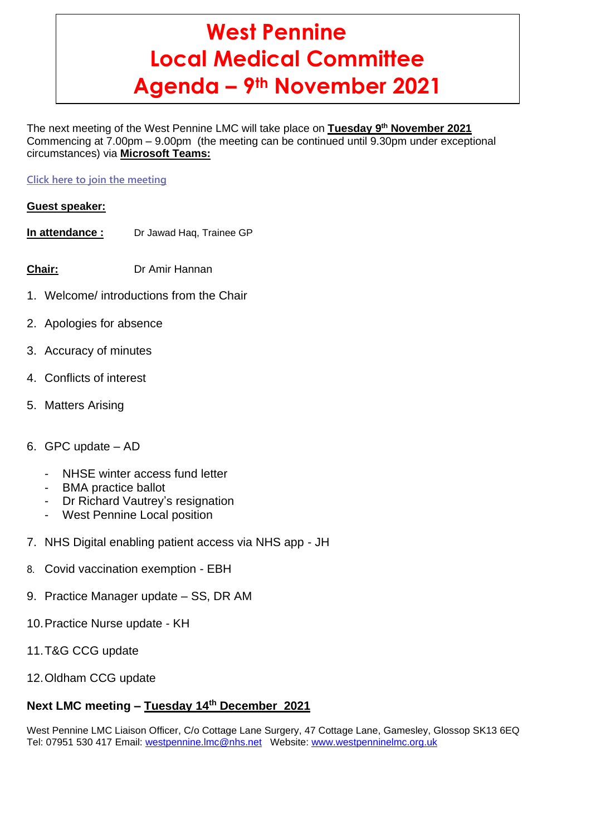# **West Pennine Local Medical Committee Agenda – 9th November 2021**

The next meeting of the West Pennine LMC will take place on **Tuesday 9 th November 2021** Commencing at 7.00pm – 9.00pm (the meeting can be continued until 9.30pm under exceptional circumstances) via **Microsoft Teams:**

## **[Click here to join the meeting](https://teams.microsoft.com/l/meetup-join/19%3ameeting_ZWNkN2ZiNjUtNGUxOS00NWE3LWJjNDQtZjY0ZjUzNDllMWZk%40thread.v2/0?context=%7b%22Tid%22%3a%2237c354b2-85b0-47f5-b222-07b48d774ee3%22%2c%22Oid%22%3a%222b73c2c4-4d9e-4780-ac71-6a1b9abbc854%22%7d)**

## **Guest speaker:**

- **In attendance :** Dr Jawad Haq, Trainee GP
- **Chair:** Dr Amir Hannan
- 1. Welcome/ introductions from the Chair
- 2. Apologies for absence
- 3. Accuracy of minutes
- 4. Conflicts of interest
- 5. Matters Arising
- 6. GPC update AD
	- NHSE winter access fund letter
	- BMA practice ballot
	- Dr Richard Vautrey's resignation
	- West Pennine Local position
- 7. NHS Digital enabling patient access via NHS app JH
- 8. Covid vaccination exemption EBH
- 9. Practice Manager update SS, DR AM
- 10.Practice Nurse update KH
- 11.T&G CCG update
- 12.Oldham CCG update

# **Next LMC meeting – Tuesday 14th December 2021**

West Pennine LMC Liaison Officer, C/o Cottage Lane Surgery, 47 Cottage Lane, Gamesley, Glossop SK13 6EQ Tel: 07951 530 417 Email: [westpennine.lmc@nhs.net](mailto:westpennine.lmc@nhs.net) Website: [www.westpenninelmc.org.uk](http://www.westpenninelmc.org.uk/)